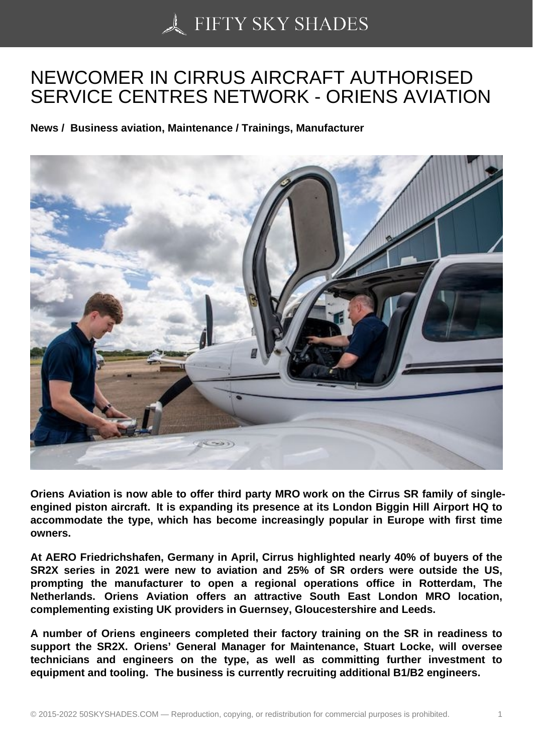## [NEWCOMER IN CIRR](https://50skyshades.com)US AIRCRAFT AUTHORISED SERVICE CENTRES NETWORK - ORIENS AVIATION

News / Business aviation, Maintenance / Trainings, Manufacturer

Oriens Aviation is now able to offer third party MRO work on the Cirrus SR family of singleengined piston aircraft. It is expanding its presence at its London Biggin Hill Airport HQ to accommodate the type, which has become increasingly popular in Europe with first time owners.

At AERO Friedrichshafen, Germany in April, Cirrus highlighted nearly 40% of buyers of the SR2X series in 2021 were new to aviation and 25% of SR orders were outside the US, prompting the manufacturer to open a regional operations office in Rotterdam, The Netherlands. Oriens Aviation offers an attractive South East London MRO location, complementing existing UK providers in Guernsey, Gloucestershire and Leeds.

A number of Oriens engineers completed their factory training on the SR in readiness to support the SR2X. Oriens' General Manager for Maintenance, Stuart Locke, will oversee technicians and engineers on the type, as well as committing further investment to equipment and tooling. The business is currently recruiting additional B1/B2 engineers.